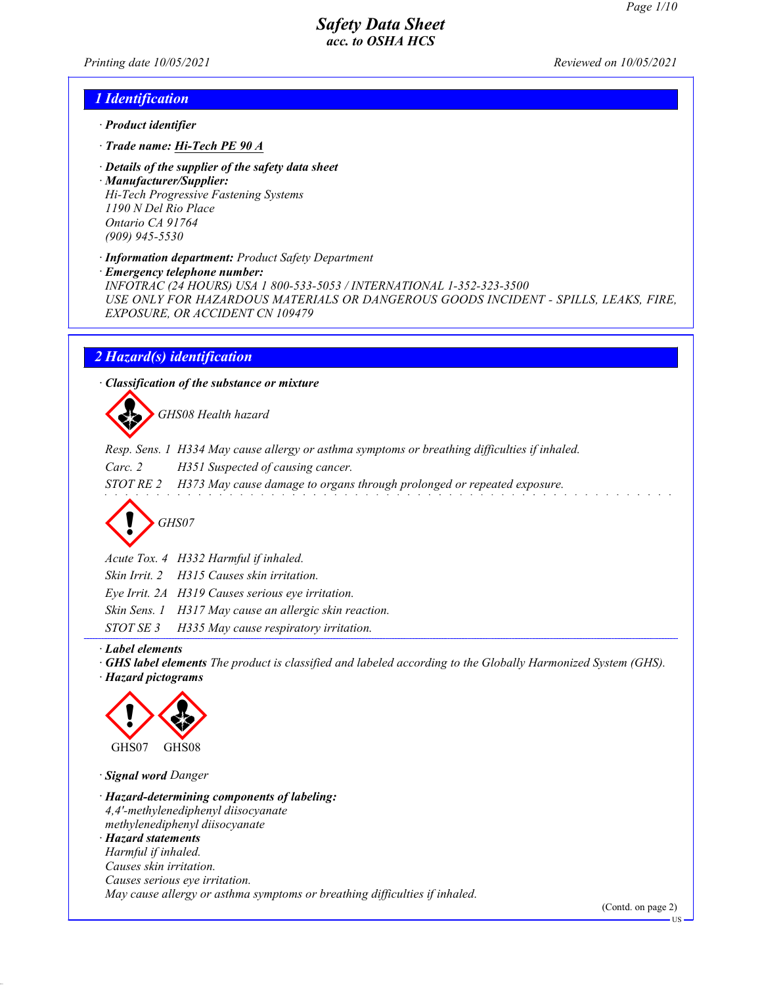Printing date 10/05/2021 Reviewed on 10/05/2021

### 1 Identification

- · Product identifier
- · Trade name: Hi-Tech PE 90 A
- · Details of the supplier of the safety data sheet
- · Manufacturer/Supplier: Hi-Tech Progressive Fastening Systems 1190 N Del Rio Place Ontario CA 91764 (909) 945-5530

· Information department: Product Safety Department

· Emergency telephone number:

INFOTRAC (24 HOURS) USA 1 800-533-5053 / INTERNATIONAL 1-352-323-3500 USE ONLY FOR HAZARDOUS MATERIALS OR DANGEROUS GOODS INCIDENT - SPILLS, LEAKS, FIRE, EXPOSURE, OR ACCIDENT CN 109479

### 2 Hazard(s) identification

· Classification of the substance or mixture

GHS08 Health hazard

Resp. Sens. 1 H334 May cause allergy or asthma symptoms or breathing difficulties if inhaled.

Carc. 2 H351 Suspected of causing cancer.

STOT RE 2 H373 May cause damage to organs through prolonged or repeated exposure.

GHS07

Acute Tox. 4 H332 Harmful if inhaled.

Skin Irrit. 2 H315 Causes skin irritation.

Eye Irrit. 2A H319 Causes serious eye irritation.

Skin Sens. 1 H317 May cause an allergic skin reaction.

STOT SE 3 H335 May cause respiratory irritation.

#### · Label elements

· GHS label elements The product is classified and labeled according to the Globally Harmonized System (GHS). · Hazard pictograms



· Signal word Danger

· Hazard-determining components of labeling: 4,4'-methylenediphenyl diisocyanate methylenediphenyl diisocyanate · Hazard statements Harmful if inhaled. Causes skin irritation. Causes serious eye irritation. May cause allergy or asthma symptoms or breathing difficulties if inhaled.

(Contd. on page 2)

US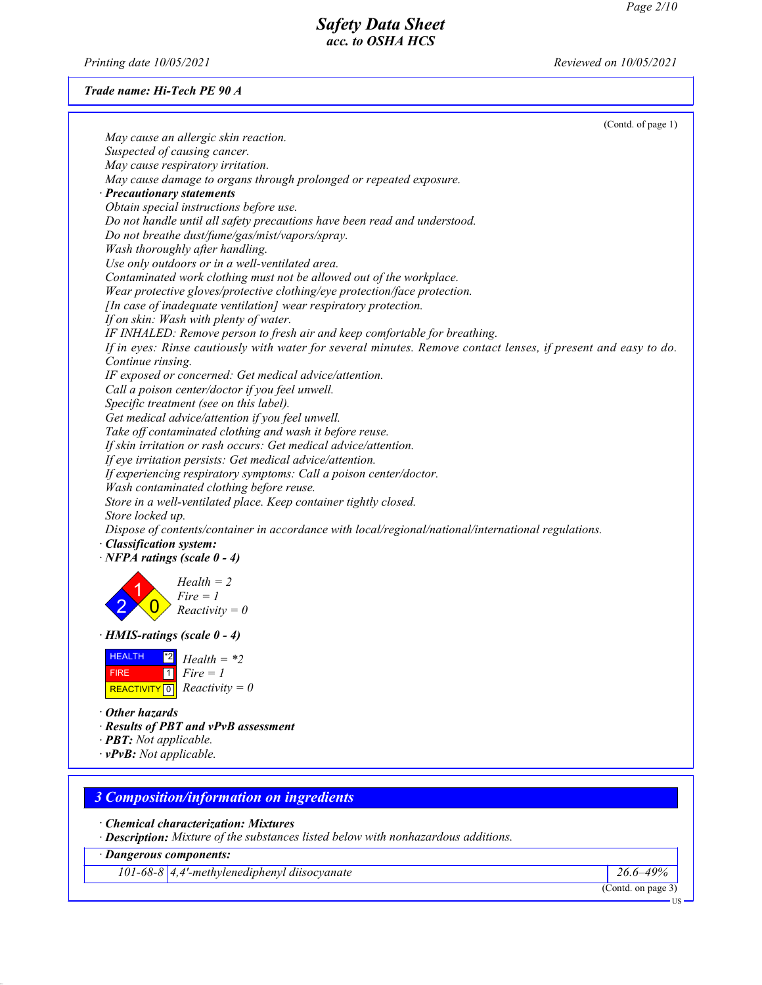Printing date 10/05/2021 Reviewed on 10/05/2021

### Trade name: Hi-Tech PE 90 A

| (Contd. of page 1)                                                                                             |  |
|----------------------------------------------------------------------------------------------------------------|--|
| May cause an allergic skin reaction.                                                                           |  |
| Suspected of causing cancer.                                                                                   |  |
| May cause respiratory irritation.                                                                              |  |
| May cause damage to organs through prolonged or repeated exposure.                                             |  |
| · Precautionary statements                                                                                     |  |
| Obtain special instructions before use.                                                                        |  |
| Do not handle until all safety precautions have been read and understood.                                      |  |
| Do not breathe dust/fume/gas/mist/vapors/spray.                                                                |  |
| Wash thoroughly after handling.                                                                                |  |
| Use only outdoors or in a well-ventilated area.                                                                |  |
|                                                                                                                |  |
| Contaminated work clothing must not be allowed out of the workplace.                                           |  |
| Wear protective gloves/protective clothing/eye protection/face protection.                                     |  |
| [In case of inadequate ventilation] wear respiratory protection.                                               |  |
| If on skin: Wash with plenty of water.                                                                         |  |
| IF INHALED: Remove person to fresh air and keep comfortable for breathing.                                     |  |
| If in eyes: Rinse cautiously with water for several minutes. Remove contact lenses, if present and easy to do. |  |
| Continue rinsing.                                                                                              |  |
| IF exposed or concerned: Get medical advice/attention.                                                         |  |
| Call a poison center/doctor if you feel unwell.                                                                |  |
| Specific treatment (see on this label).                                                                        |  |
| Get medical advice/attention if you feel unwell.                                                               |  |
| Take off contaminated clothing and wash it before reuse.                                                       |  |
| If skin irritation or rash occurs: Get medical advice/attention.                                               |  |
| If eye irritation persists: Get medical advice/attention.                                                      |  |
| If experiencing respiratory symptoms: Call a poison center/doctor.                                             |  |
| Wash contaminated clothing before reuse.                                                                       |  |
| Store in a well-ventilated place. Keep container tightly closed.                                               |  |
| Store locked up.                                                                                               |  |
|                                                                                                                |  |
| Dispose of contents/container in accordance with local/regional/national/international regulations.            |  |
| · Classification system:                                                                                       |  |
| $\cdot$ NFPA ratings (scale 0 - 4)                                                                             |  |
| $Health = 2$                                                                                                   |  |
| $Fire = 1$                                                                                                     |  |
| $Reactivity = 0$                                                                                               |  |
|                                                                                                                |  |
| $\cdot$ HMIS-ratings (scale 0 - 4)                                                                             |  |
|                                                                                                                |  |
| <b>HEALTH</b><br>$Health = *2$                                                                                 |  |
| 1<br>$Fire = 1$<br><b>FIRE</b>                                                                                 |  |
| $Reactivity = 0$<br>REACTIVITY <sup>0</sup>                                                                    |  |
|                                                                                                                |  |
| $\cdot$ Other hazards                                                                                          |  |
| · Results of PBT and vPvB assessment                                                                           |  |
| · <b>PBT:</b> Not applicable.                                                                                  |  |
| $\cdot$ vPvB: Not applicable.                                                                                  |  |
|                                                                                                                |  |
|                                                                                                                |  |

# 3 Composition/information on ingredients

· Chemical characterization: Mixtures

· Description: Mixture of the substances listed below with nonhazardous additions.

· Dangerous components:

101-68-8 4,4'-methylenediphenyl diisocyanate 26.6–49%

(Contd. on page 3)

US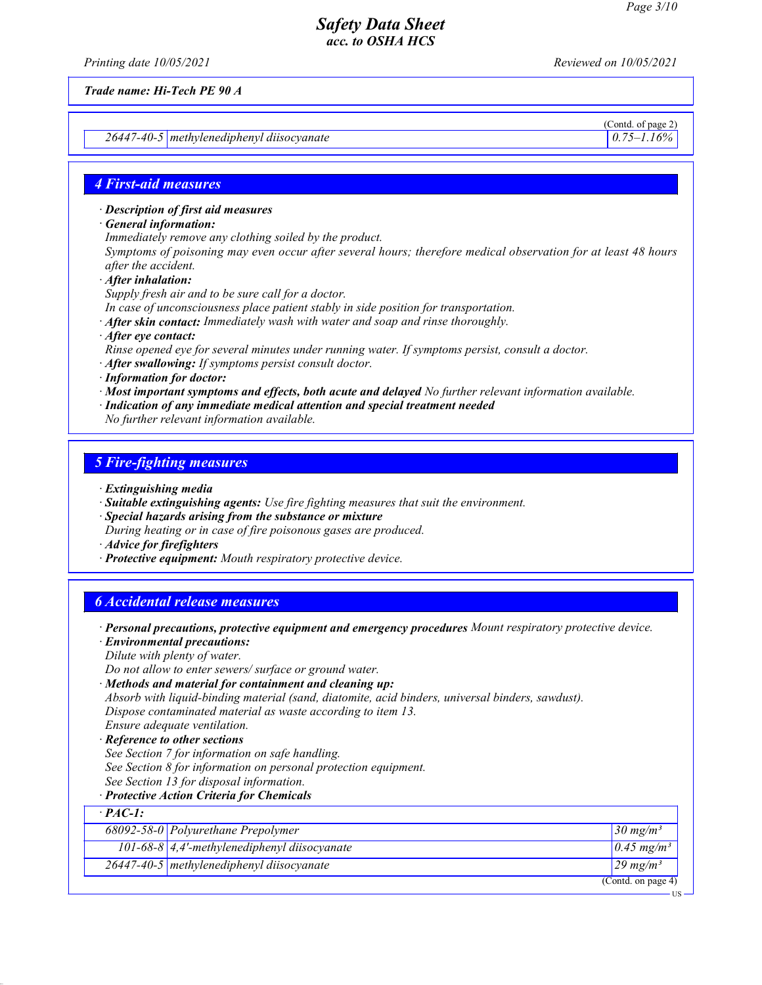Printing date 10/05/2021 Reviewed on 10/05/2021

Trade name: Hi-Tech PE 90 A

26447-40-5 methylenediphenyl diisocyanate 0.75–1.16%

(Contd. of page 2)

### 4 First-aid measures

· Description of first aid measures

· General information:

Immediately remove any clothing soiled by the product.

Symptoms of poisoning may even occur after several hours; therefore medical observation for at least 48 hours after the accident.

· After inhalation:

Supply fresh air and to be sure call for a doctor.

In case of unconsciousness place patient stably in side position for transportation.

 $\cdot$  After skin contact: Immediately wash with water and soap and rinse thoroughly.

· After eye contact:

Rinse opened eye for several minutes under running water. If symptoms persist, consult a doctor.

- · After swallowing: If symptoms persist consult doctor.
- · Information for doctor:
- · Most important symptoms and effects, both acute and delayed No further relevant information available.
- · Indication of any immediate medical attention and special treatment needed

No further relevant information available.

#### 5 Fire-fighting measures

- · Extinguishing media
- · Suitable extinguishing agents: Use fire fighting measures that suit the environment.
- · Special hazards arising from the substance or mixture During heating or in case of fire poisonous gases are produced.
- · Advice for firefighters
- · Protective equipment: Mouth respiratory protective device.

### 6 Accidental release measures

· Personal precautions, protective equipment and emergency procedures Mount respiratory protective device.

· Environmental precautions: Dilute with plenty of water. Do not allow to enter sewers/ surface or ground water. · Methods and material for containment and cleaning up: Absorb with liquid-binding material (sand, diatomite, acid binders, universal binders, sawdust). Dispose contaminated material as waste according to item 13. Ensure adequate ventilation. · Reference to other sections

See Section 7 for information on safe handling.

- See Section 8 for information on personal protection equipment.
- See Section 13 for disposal information.
- · Protective Action Criteria for Chemicals

| $\cdot$ PAC-1: |                                                      |                          |
|----------------|------------------------------------------------------|--------------------------|
|                | 68092-58-0 Polyurethane Prepolymer                   | 30 mg/m <sup>3</sup>     |
|                | 101-68-8 $\vert$ 4,4'-methylenediphenyl diisocyanate | $0.45$ mg/m <sup>3</sup> |
|                | $26447 - 40 - 5$ methylenediphenyl diisocyanate      | $29 \text{ mg/m}^3$      |
|                |                                                      | (Contd. on page 4)       |

US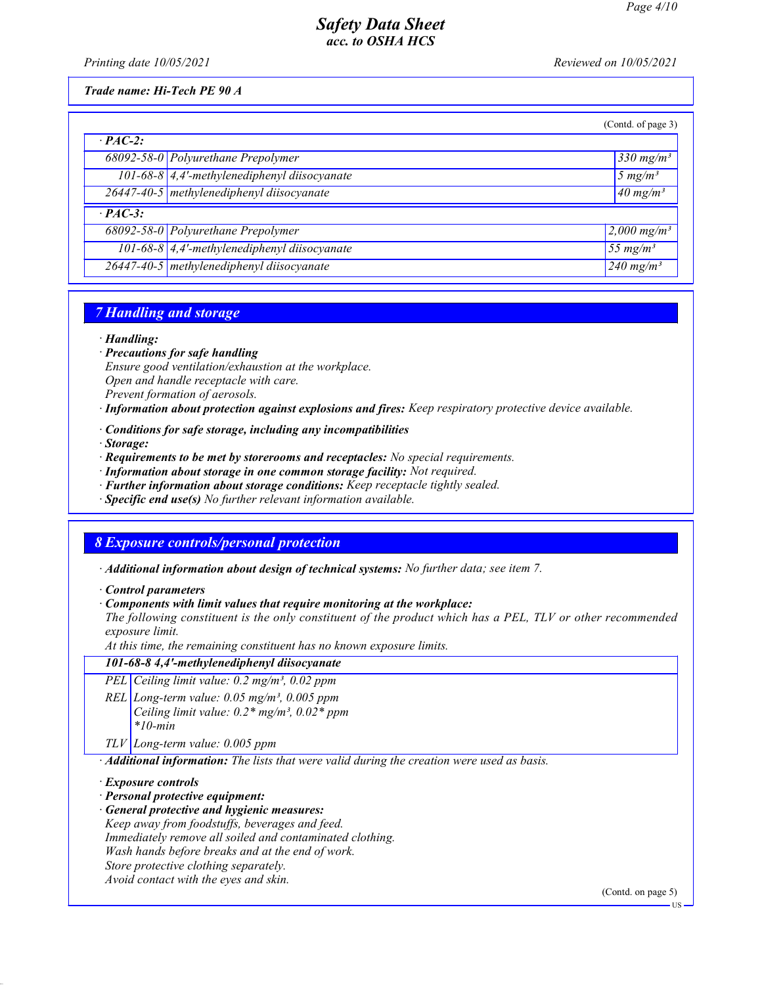Printing date 10/05/2021 **Reviewed on 10/05/2021** 

Trade name: Hi-Tech PE 90 A

|                |                                              | (Contd. of page 3)               |
|----------------|----------------------------------------------|----------------------------------|
| $\cdot$ PAC-2: |                                              |                                  |
|                | 68092-58-0 Polyurethane Prepolymer           | $330$ mg/m <sup>3</sup>          |
|                | 101-68-8 4,4'-methylenediphenyl diisocyanate | $5 \ mg/m^3$                     |
|                | 26447-40-5 methylenediphenyl diisocyanate    | $40$ mg/m <sup>3</sup>           |
| $\cdot$ PAC-3: |                                              |                                  |
|                | 68092-58-0 Polyurethane Prepolymer           | $\sqrt{2,000}$ mg/m <sup>3</sup> |
|                | 101-68-8 4,4'-methylenediphenyl diisocyanate | 55 $mg/m^3$                      |
|                | 26447-40-5 methylenediphenyl diisocyanate    | 240 mg/m <sup>3</sup>            |

## 7 Handling and storage

· Handling:

- · Precautions for safe handling
- Ensure good ventilation/exhaustion at the workplace. Open and handle receptacle with care.
- Prevent formation of aerosols.
- · Information about protection against explosions and fires: Keep respiratory protective device available.
- · Conditions for safe storage, including any incompatibilities
- · Storage:
- · Requirements to be met by storerooms and receptacles: No special requirements.
- · Information about storage in one common storage facility: Not required.
- · Further information about storage conditions: Keep receptacle tightly sealed.
- · Specific end use(s) No further relevant information available.

### 8 Exposure controls/personal protection

· Additional information about design of technical systems: No further data; see item 7.

· Control parameters

· Components with limit values that require monitoring at the workplace:

The following constituent is the only constituent of the product which has a PEL, TLV or other recommended exposure limit.

At this time, the remaining constituent has no known exposure limits.

### 101-68-8 4,4'-methylenediphenyl diisocyanate

PEL Ceiling limit value: 0.2 mg/m<sup>3</sup>, 0.02 ppm

REL Long-term value:  $0.05$  mg/m<sup>3</sup>,  $0.005$  ppm Ceiling limit value:  $0.2*$  mg/m<sup>3</sup>,  $0.02*$  ppm  $*10$ -min

TLV Long-term value: 0.005 ppm

· Additional information: The lists that were valid during the creation were used as basis.

· Exposure controls

- · Personal protective equipment:
- · General protective and hygienic measures:

Keep away from foodstuffs, beverages and feed. Immediately remove all soiled and contaminated clothing. Wash hands before breaks and at the end of work. Store protective clothing separately.

Avoid contact with the eyes and skin.

(Contd. on page 5)

**IIS**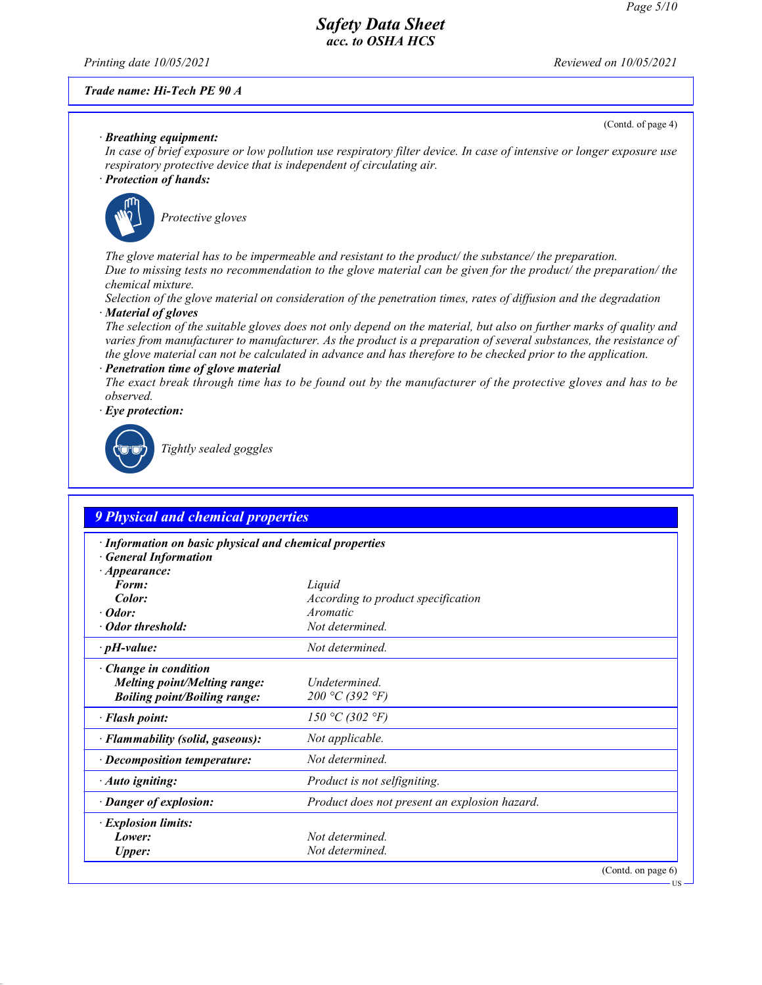Printing date 10/05/2021 **Reviewed on 10/05/2021** 

#### Trade name: Hi-Tech PE 90 A

(Contd. of page 4)

#### · Breathing equipment:

In case of brief exposure or low pollution use respiratory filter device. In case of intensive or longer exposure use respiratory protective device that is independent of circulating air.

#### · Protection of hands:



Protective gloves

The glove material has to be impermeable and resistant to the product/ the substance/ the preparation. Due to missing tests no recommendation to the glove material can be given for the product/ the preparation/ the chemical mixture.

Selection of the glove material on consideration of the penetration times, rates of diffusion and the degradation · Material of gloves

The selection of the suitable gloves does not only depend on the material, but also on further marks of quality and varies from manufacturer to manufacturer. As the product is a preparation of several substances, the resistance of the glove material can not be calculated in advance and has therefore to be checked prior to the application.

Penetration time of glove material

The exact break through time has to be found out by the manufacturer of the protective gloves and has to be observed.

Eye protection:



Tightly sealed goggles

| · Information on basic physical and chemical properties<br><b>General Information</b> |                                               |  |
|---------------------------------------------------------------------------------------|-----------------------------------------------|--|
| $\cdot$ Appearance:                                                                   |                                               |  |
| Form:                                                                                 | Liquid                                        |  |
| Color:                                                                                | According to product specification            |  |
| $\cdot$ Odor:                                                                         | Aromatic                                      |  |
| • Odor threshold:                                                                     | Not determined.                               |  |
| $\cdot$ pH-value:                                                                     | Not determined.                               |  |
| $\cdot$ Change in condition                                                           |                                               |  |
| <b>Melting point/Melting range:</b>                                                   | Undetermined.                                 |  |
| <b>Boiling point/Boiling range:</b>                                                   | 200 °C (392 °F)                               |  |
| $\cdot$ Flash point:                                                                  | 150 °C (302 °F)                               |  |
| · Flammability (solid, gaseous):                                                      | Not applicable.                               |  |
| $\cdot$ Decomposition temperature:                                                    | Not determined.                               |  |
| $\cdot$ Auto igniting:                                                                | Product is not selfigniting.                  |  |
| · Danger of explosion:                                                                | Product does not present an explosion hazard. |  |
| $\cdot$ Explosion limits:                                                             |                                               |  |
| Lower:                                                                                | Not determined.                               |  |
| Upper:                                                                                | Not determined.                               |  |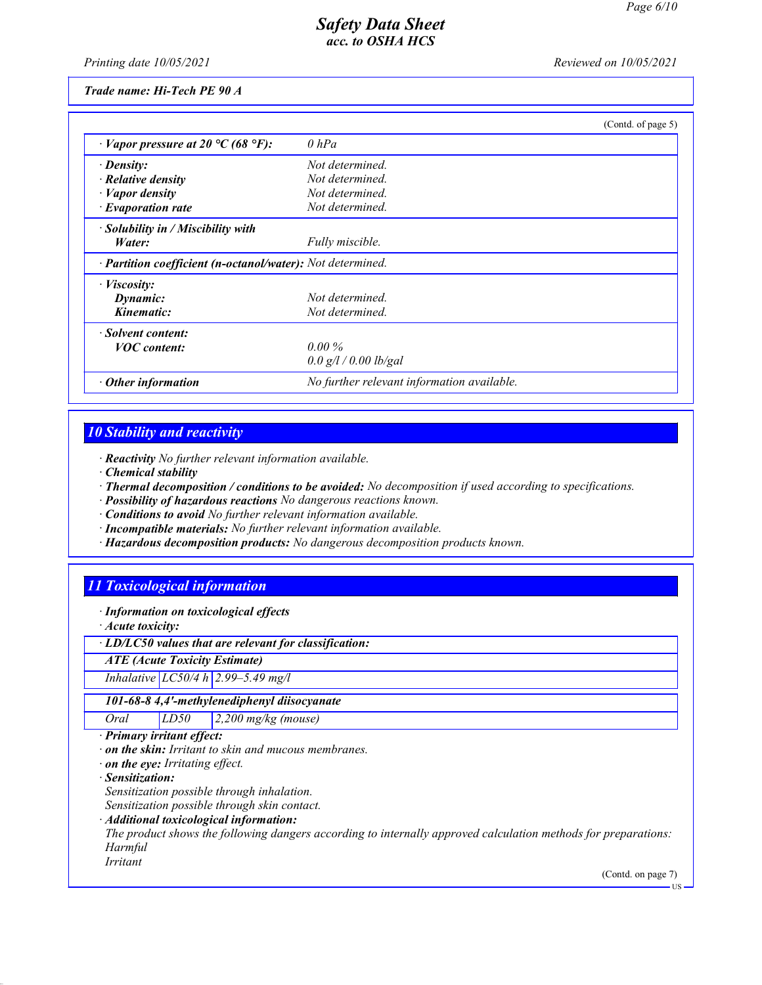Printing date 10/05/2021 **Reviewed on 10/05/2021** 

Trade name: Hi-Tech PE 90 A

|                                                            | (Contd. of page 5)                         |
|------------------------------------------------------------|--------------------------------------------|
| $\cdot$ Vapor pressure at 20 °C (68 °F):                   | $0$ hPa                                    |
| $\cdot$ Density:                                           | Not determined.                            |
| $\cdot$ Relative density                                   | Not determined.                            |
| $\cdot$ <i>Vapor density</i>                               | Not determined.                            |
| $\cdot$ Evaporation rate                                   | Not determined.                            |
| · Solubility in / Miscibility with                         |                                            |
| Water:                                                     | Fully miscible.                            |
| · Partition coefficient (n-octanol/water): Not determined. |                                            |
| $\cdot$ <i>Viscosity:</i>                                  |                                            |
| Dynamic:                                                   | Not determined.                            |
| Kinematic:                                                 | Not determined.                            |
| · Solvent content:                                         |                                            |
| <b>VOC</b> content:                                        | $0.00\%$                                   |
|                                                            | $0.0$ g/l / 0.00 lb/gal                    |
| Other information                                          | No further relevant information available. |

# 10 Stability and reactivity

· Reactivity No further relevant information available.

- · Chemical stability
- · Thermal decomposition / conditions to be avoided: No decomposition if used according to specifications.
- · Possibility of hazardous reactions No dangerous reactions known.

· Conditions to avoid No further relevant information available.

- · Incompatible materials: No further relevant information available.
- · Hazardous decomposition products: No dangerous decomposition products known.

# 11 Toxicological information

· Information on toxicological effects

· Acute toxicity:

· LD/LC50 values that are relevant for classification:

ATE (Acute Toxicity Estimate)

Inhalative LC50/4 h 2.99–5.49 mg/l

101-68-8 4,4'-methylenediphenyl diisocyanate

Oral LD50 2,200 mg/kg (mouse)

· Primary irritant effect:

· on the skin: Irritant to skin and mucous membranes.

· on the eye: Irritating effect.

· Sensitization:

Sensitization possible through inhalation.

Sensitization possible through skin contact.

· Additional toxicological information:

The product shows the following dangers according to internally approved calculation methods for preparations: Harmful

Irritant

(Contd. on page 7)

US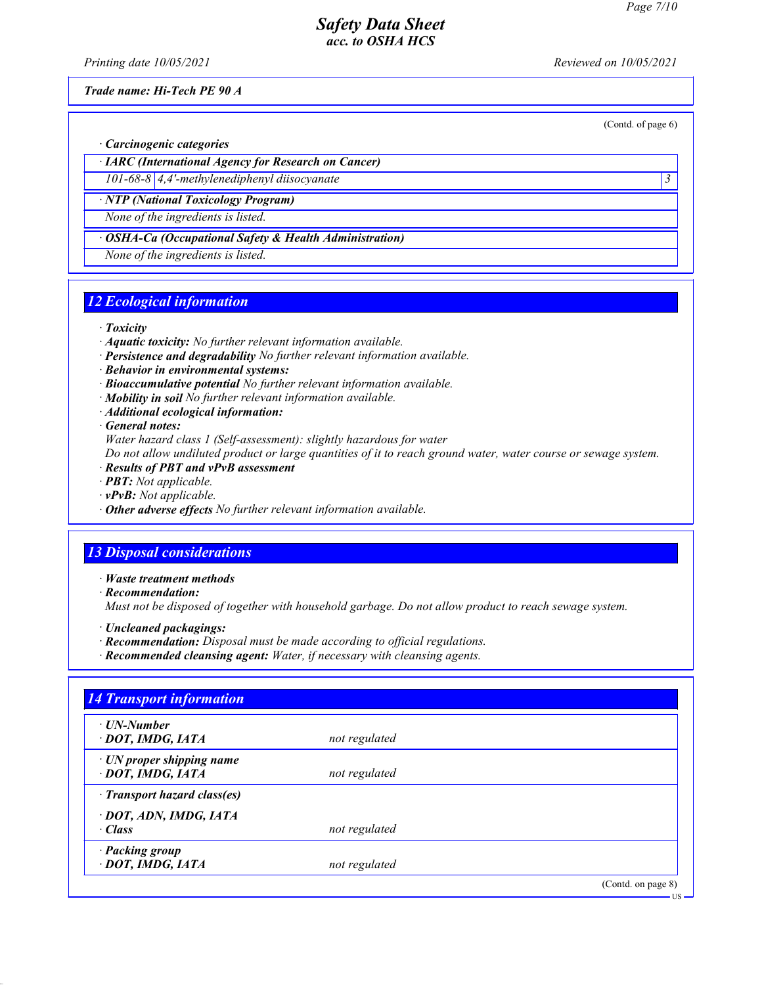(Contd. of page 6)

## Safety Data Sheet acc. to OSHA HCS

Printing date 10/05/2021 **Reviewed on 10/05/2021** 

Trade name: Hi-Tech PE 90 A

· Carcinogenic categories

· IARC (International Agency for Research on Cancer)

101-68-8 4,4'-methylenediphenyl diisocyanate 3 · NTP (National Toxicology Program)

None of the ingredients is listed.

OSHA-Ca (Occupational Safety & Health Administration)

None of the ingredients is listed.

# 12 Ecological information

· Toxicity

- · Aquatic toxicity: No further relevant information available.
- · Persistence and degradability No further relevant information available.
- · Behavior in environmental systems:
- · Bioaccumulative potential No further relevant information available.
- · Mobility in soil No further relevant information available.
- · Additional ecological information:

· General notes:

Water hazard class 1 (Self-assessment): slightly hazardous for water

Do not allow undiluted product or large quantities of it to reach ground water, water course or sewage system.

- · Results of PBT and vPvB assessment
- · PBT: Not applicable.
- $\cdot$  **vPvB:** Not applicable.
- · Other adverse effects No further relevant information available.

# 13 Disposal considerations

· Waste treatment methods

- · Recommendation: Must not be disposed of together with household garbage. Do not allow product to reach sewage system.
- · Uncleaned packagings:
- · Recommendation: Disposal must be made according to official regulations.
- · Recommended cleansing agent: Water, if necessary with cleansing agents.

| $\cdot$ UN-Number               |               |  |
|---------------------------------|---------------|--|
| · DOT, IMDG, IATA               | not regulated |  |
| $\cdot$ UN proper shipping name |               |  |
| · DOT, IMDG, IATA               | not regulated |  |
| · Transport hazard class(es)    |               |  |
| · DOT, ADN, IMDG, IATA          |               |  |
| $\cdot$ Class                   | not regulated |  |
| · Packing group                 |               |  |
| · DOT, IMDG, IATA               | not regulated |  |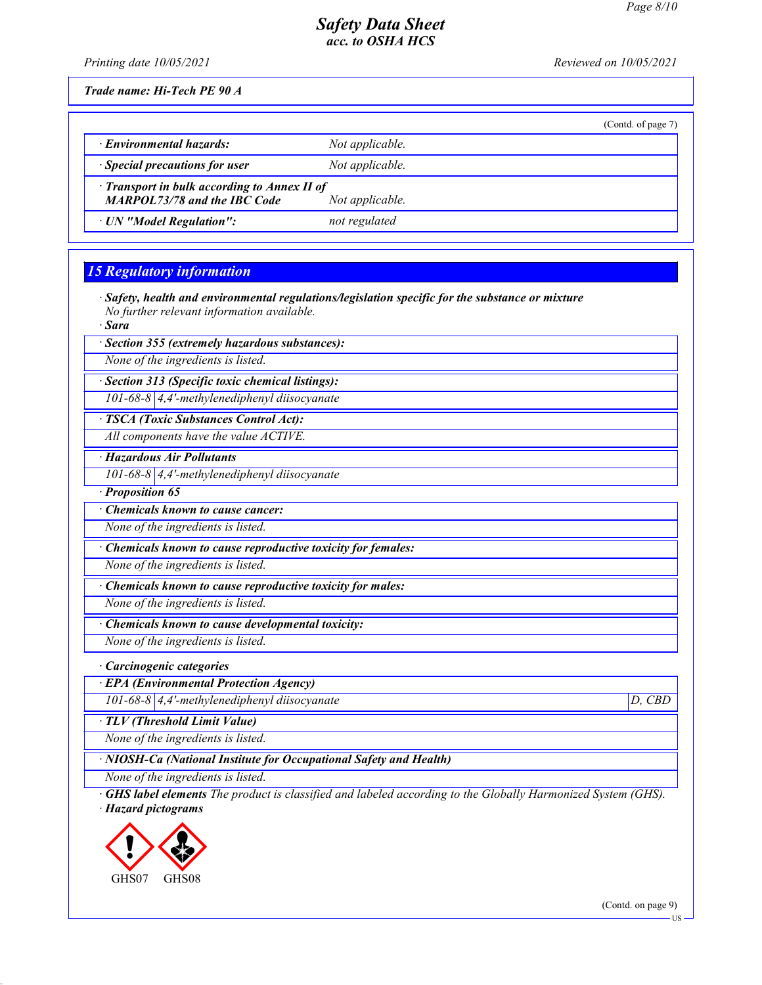(Contd. of page 7)

# Safety Data Sheet acc. to OSHA HCS

Printing date 10/05/2021 **Reviewed on 10/05/2021** 

Trade name: Hi-Tech PE 90 A

| <b>Environmental hazards:</b>        | Not applicable. |
|--------------------------------------|-----------------|
| $\cdot$ Special precautions for user | Not applicable. |

· Transport in bulk according to Annex II of

MARPOL73/78 and the IBC Code Not applicable.

· UN "Model Regulation": not regulated

# 15 Regulatory information

· Safety, health and environmental regulations/legislation specific for the substance or mixture No further relevant information available.

· Sara

· Section 355 (extremely hazardous substances):

None of the ingredients is listed.

· Section 313 (Specific toxic chemical listings): 101-68-8 4,4'-methylenediphenyl diisocyanate

· TSCA (Toxic Substances Control Act):

All components have the value ACTIVE.

· Hazardous Air Pollutants

101-68-8 4,4'-methylenediphenyl diisocyanate

· Proposition 65

Chemicals known to cause cancer:

None of the ingredients is listed.

· Chemicals known to cause reproductive toxicity for females:

None of the ingredients is listed.

· Chemicals known to cause reproductive toxicity for males:

None of the ingredients is listed.

· Chemicals known to cause developmental toxicity:

None of the ingredients is listed.

· Carcinogenic categories

· EPA (Environmental Protection Agency)

101-68-8 4,4'-methylenediphenyl diisocyanate D, CBD

· TLV (Threshold Limit Value)

None of the ingredients is listed.

· NIOSH-Ca (National Institute for Occupational Safety and Health)

None of the ingredients is listed.

· GHS label elements The product is classified and labeled according to the Globally Harmonized System (GHS). · Hazard pictograms



(Contd. on page 9)

US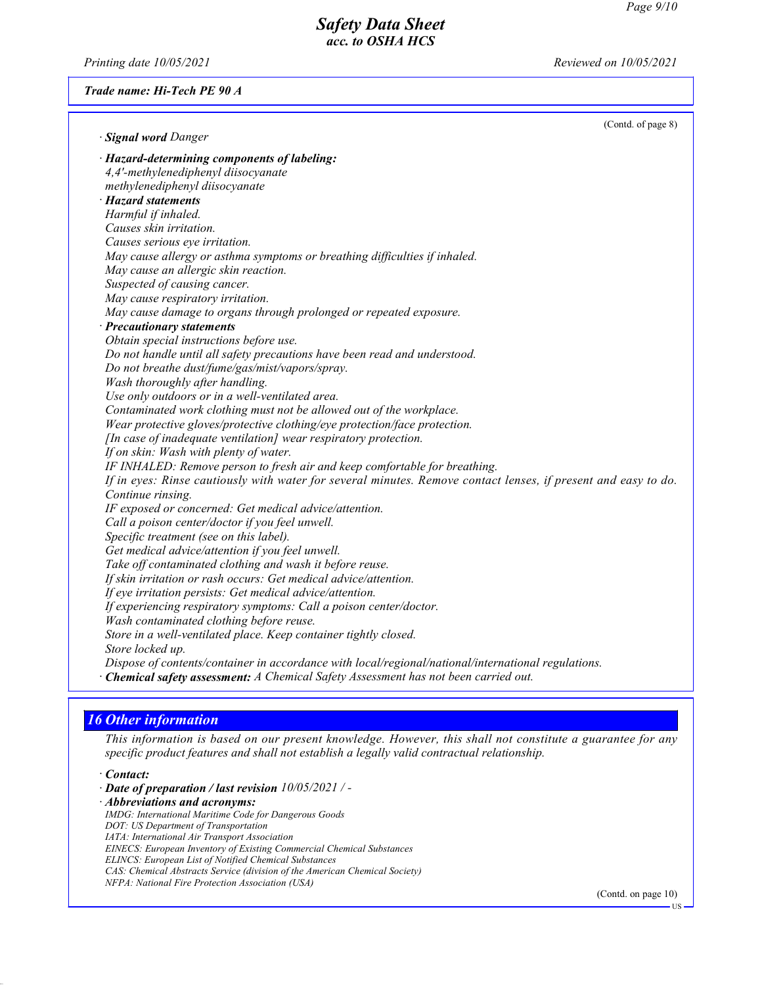Printing date 10/05/2021 **Reviewed on 10/05/2021** 

#### Trade name: Hi-Tech PE 90 A

| · Signal word Danger                                                                                           | (Contd. of page 8) |
|----------------------------------------------------------------------------------------------------------------|--------------------|
| · Hazard-determining components of labeling:                                                                   |                    |
| 4,4'-methylenediphenyl diisocyanate                                                                            |                    |
| methylenediphenyl diisocyanate                                                                                 |                    |
| · Hazard statements                                                                                            |                    |
| Harmful if inhaled.                                                                                            |                    |
| Causes skin irritation.                                                                                        |                    |
| Causes serious eye irritation.                                                                                 |                    |
| May cause allergy or asthma symptoms or breathing difficulties if inhaled.                                     |                    |
| May cause an allergic skin reaction.                                                                           |                    |
| Suspected of causing cancer.                                                                                   |                    |
| May cause respiratory irritation.                                                                              |                    |
| May cause damage to organs through prolonged or repeated exposure.                                             |                    |
| · Precautionary statements                                                                                     |                    |
| Obtain special instructions before use.                                                                        |                    |
| Do not handle until all safety precautions have been read and understood.                                      |                    |
| Do not breathe dust/fume/gas/mist/vapors/spray.                                                                |                    |
| Wash thoroughly after handling.                                                                                |                    |
| Use only outdoors or in a well-ventilated area.                                                                |                    |
| Contaminated work clothing must not be allowed out of the workplace.                                           |                    |
| Wear protective gloves/protective clothing/eye protection/face protection.                                     |                    |
| [In case of inadequate ventilation] wear respiratory protection.                                               |                    |
| If on skin: Wash with plenty of water.                                                                         |                    |
| IF INHALED: Remove person to fresh air and keep comfortable for breathing.                                     |                    |
| If in eyes: Rinse cautiously with water for several minutes. Remove contact lenses, if present and easy to do. |                    |
| Continue rinsing.                                                                                              |                    |
| IF exposed or concerned: Get medical advice/attention.                                                         |                    |
| Call a poison center/doctor if you feel unwell.                                                                |                    |
| Specific treatment (see on this label).                                                                        |                    |
| Get medical advice/attention if you feel unwell.                                                               |                    |
| Take off contaminated clothing and wash it before reuse.                                                       |                    |
| If skin irritation or rash occurs: Get medical advice/attention.                                               |                    |
| If eye irritation persists: Get medical advice/attention.                                                      |                    |
| If experiencing respiratory symptoms: Call a poison center/doctor.                                             |                    |
| Wash contaminated clothing before reuse.                                                                       |                    |
| Store in a well-ventilated place. Keep container tightly closed.                                               |                    |
| Store locked up.                                                                                               |                    |
| Dispose of contents/container in accordance with local/regional/national/international regulations.            |                    |
| · Chemical safety assessment: A Chemical Safety Assessment has not been carried out.                           |                    |
|                                                                                                                |                    |

# 16 Other information

This information is based on our present knowledge. However, this shall not constitute a guarantee for any specific product features and shall not establish a legally valid contractual relationship.

· Contact:

· Date of preparation / last revision 10/05/2021 / - · Abbreviations and acronyms: IMDG: International Maritime Code for Dangerous Goods DOT: US Department of Transportation IATA: International Air Transport Association EINECS: European Inventory of Existing Commercial Chemical Substances ELINCS: European List of Notified Chemical Substances CAS: Chemical Abstracts Service (division of the American Chemical Society) NFPA: National Fire Protection Association (USA)

(Contd. on page 10)

US